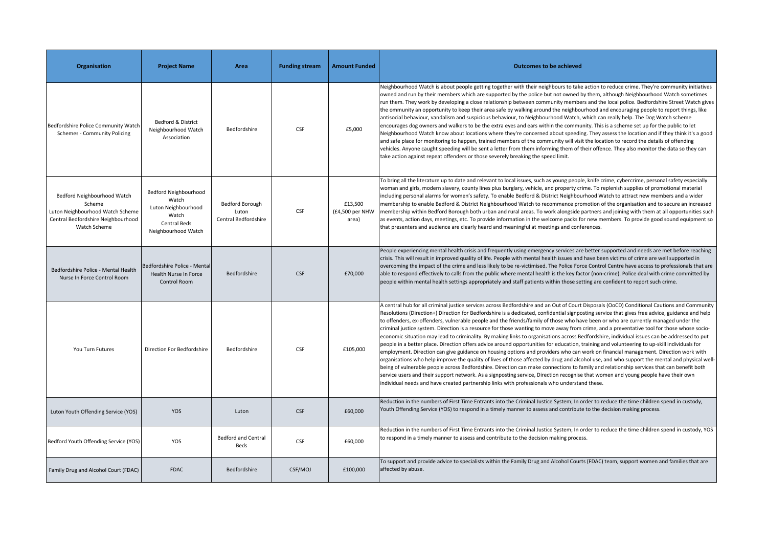| <b>Organisation</b>                                                                                                             | <b>Project Name</b>                                                                                   | Area                                             | <b>Funding stream</b> | <b>Amount Funded</b>                | <b>Outcomes to be achieved</b>                                                                                                                                                                                                                                                                                                                                                                                                                                                                                                                                                                                                                                                                                                                                                                                                                                                                                                                                                                                                                                                                                                                                                                                                                                                                                                                                                                                                                                                                                                                         |
|---------------------------------------------------------------------------------------------------------------------------------|-------------------------------------------------------------------------------------------------------|--------------------------------------------------|-----------------------|-------------------------------------|--------------------------------------------------------------------------------------------------------------------------------------------------------------------------------------------------------------------------------------------------------------------------------------------------------------------------------------------------------------------------------------------------------------------------------------------------------------------------------------------------------------------------------------------------------------------------------------------------------------------------------------------------------------------------------------------------------------------------------------------------------------------------------------------------------------------------------------------------------------------------------------------------------------------------------------------------------------------------------------------------------------------------------------------------------------------------------------------------------------------------------------------------------------------------------------------------------------------------------------------------------------------------------------------------------------------------------------------------------------------------------------------------------------------------------------------------------------------------------------------------------------------------------------------------------|
| Bedfordshire Police Community Watch<br>Schemes - Community Policing                                                             | Bedford & District<br>Neighbourhood Watch<br>Association                                              | Bedfordshire                                     | <b>CSF</b>            | £5,000                              | Neighbourhood Watch is about people getting together with their neighbours to take action to reduce crime. They're community initiatives<br>owned and run by their members which are supported by the police but not owned by them, although Neighbourhood Watch sometimes<br>run them. They work by developing a close relationship between community members and the local police. Bedfordshire Street Watch gives<br>the ommunity an opportunity to keep their area safe by walking around the neighbourhood and encouraging people to report things, like<br>antisocial behaviour, vandalism and suspicious behaviour, to Neighbourhood Watch, which can really help. The Dog Watch scheme<br>encourages dog owners and walkers to be the extra eyes and ears within the community. This is a scheme set up for the public to let<br>Neighbourhood Watch know about locations where they're concerned about speeding. They assess the location and if they think it's a good<br>and safe place for monitoring to happen, trained members of the community will visit the location to record the details of offending<br>vehicles. Anyone caught speeding will be sent a letter from them informing them of their offence. They also monitor the data so they can<br>take action against repeat offenders or those severely breaking the speed limit.                                                                                                                                                                                               |
| Bedford Neighbourhood Watch<br>Scheme<br>Luton Neighbourhood Watch Scheme<br>Central Bedfordshire Neighbourhood<br>Watch Scheme | Bedford Neighbourhood<br>Watch<br>Luton Neighbourhood<br>Watch<br>Central Beds<br>Neighbourhood Watch | Bedford Borough<br>Luton<br>Central Bedfordshire | <b>CSF</b>            | £13,500<br>(£4,500 per NHW<br>area) | To bring all the literature up to date and relevant to local issues, such as young people, knife crime, cybercrime, personal safety especially<br>woman and girls, modern slavery, county lines plus burglary, vehicle, and property crime. To replenish supplies of promotional material<br>including personal alarms for women's safety. To enable Bedford & District Neighbourhood Watch to attract new members and a wider<br>membership to enable Bedford & District Neighbourhood Watch to recommence promotion of the organisation and to secure an increased<br>membership within Bedford Borough both urban and rural areas. To work alongside partners and joining with them at all opportunities such<br>as events, action days, meetings, etc. To provide information in the welcome packs for new members. To provide good sound equipment so<br>that presenters and audience are clearly heard and meaningful at meetings and conferences.                                                                                                                                                                                                                                                                                                                                                                                                                                                                                                                                                                                               |
| Bedfordshire Police - Mental Health<br>Nurse In Force Control Room                                                              | Bedfordshire Police - Mental<br>Health Nurse In Force<br>Control Room                                 | Bedfordshire                                     | <b>CSF</b>            | £70,000                             | People experiencing mental health crisis and frequently using emergency services are better supported and needs are met before reaching<br>crisis. This will result in improved quality of life. People with mental health issues and have been victims of crime are well supported in<br>overcoming the impact of the crime and less likely to be re-victimised. The Police Force Control Centre have access to professionals that are<br>able to respond effectively to calls from the public where mental health is the key factor (non-crime). Police deal with crime committed by<br>people within mental health settings appropriately and staff patients within those setting are confident to report such crime.                                                                                                                                                                                                                                                                                                                                                                                                                                                                                                                                                                                                                                                                                                                                                                                                                               |
| You Turn Futures                                                                                                                | Direction For Bedfordshire                                                                            | Bedfordshire                                     | CSF                   | £105,000                            | A central hub for all criminal justice services across Bedfordshire and an Out of Court Disposals (OoCD) Conditional Cautions and Community<br>Resolutions (Direction+) Direction for Bedfordshire is a dedicated, confidential signposting service that gives free advice, guidance and help<br>to offenders, ex-offenders, vulnerable people and the friends/family of those who have been or who are currently managed under the<br>criminal justice system. Direction is a resource for those wanting to move away from crime, and a preventative tool for those whose socio-<br>economic situation may lead to criminality. By making links to organisations across Bedfordshire, individual issues can be addressed to put<br>people in a better place. Direction offers advice around opportunities for education, training and volunteering to up-skill individuals for<br>employment. Direction can give guidance on housing options and providers who can work on financial management. Direction work with<br>organisations who help improve the quality of lives of those affected by drug and alcohol use, and who support the mental and physical well-<br>being of vulnerable people across Bedfordshire. Direction can make connections to family and relationship services that can benefit both<br>service users and their support network. As a signposting service, Direction recognise that women and young people have their own<br>individual needs and have created partnership links with professionals who understand these. |
| Luton Youth Offending Service (YOS)                                                                                             | <b>YOS</b>                                                                                            | Luton                                            | <b>CSF</b>            | £60,000                             | Reduction in the numbers of First Time Entrants into the Criminal Justice System; In order to reduce the time children spend in custody,<br>Youth Offending Service (YOS) to respond in a timely manner to assess and contribute to the decision making process.                                                                                                                                                                                                                                                                                                                                                                                                                                                                                                                                                                                                                                                                                                                                                                                                                                                                                                                                                                                                                                                                                                                                                                                                                                                                                       |
| Bedford Youth Offending Service (YOS)                                                                                           | YOS                                                                                                   | <b>Bedford and Central</b><br><b>Beds</b>        | <b>CSF</b>            | £60,000                             | Reduction in the numbers of First Time Entrants into the Criminal Justice System; In order to reduce the time children spend in custody, YOS<br>to respond in a timely manner to assess and contribute to the decision making process.                                                                                                                                                                                                                                                                                                                                                                                                                                                                                                                                                                                                                                                                                                                                                                                                                                                                                                                                                                                                                                                                                                                                                                                                                                                                                                                 |
| Family Drug and Alcohol Court (FDAC)                                                                                            | <b>FDAC</b>                                                                                           | Bedfordshire                                     | CSF/MOJ               | £100,000                            | To support and provide advice to specialists within the Family Drug and Alcohol Courts (FDAC) team, support women and families that are<br>affected by abuse.                                                                                                                                                                                                                                                                                                                                                                                                                                                                                                                                                                                                                                                                                                                                                                                                                                                                                                                                                                                                                                                                                                                                                                                                                                                                                                                                                                                          |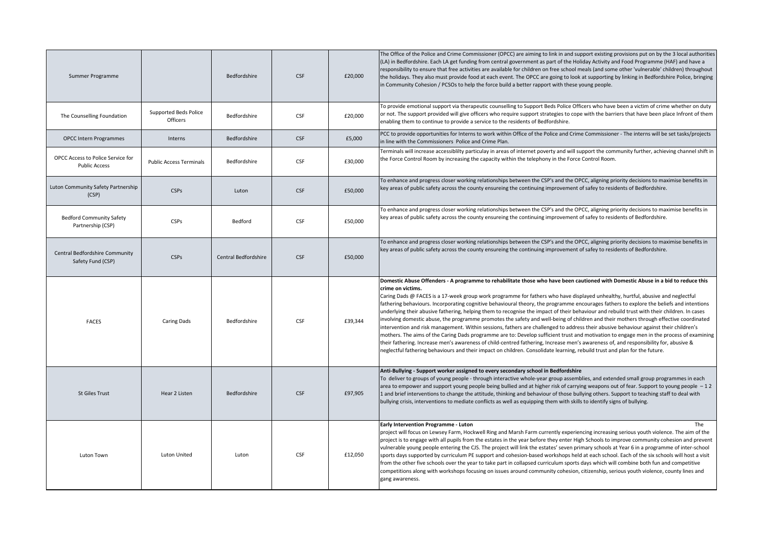| Summer Programme                                          |                                   | Bedfordshire         | <b>CSF</b> | £20,000 | The Office of the Police and Crime Commissioner (OPCC) are aiming to link in and support existing provisions put on by the 3 local authorities<br>(LA) in Bedfordshire. Each LA get funding from central government as part of the Holiday Activity and Food Programme (HAF) and have a<br>responsibility to ensure that free activities are available for children on free school meals (and some other 'vulnerable' children) throughout<br>the holidays. They also must provide food at each event. The OPCC are going to look at supporting by linking in Bedfordshire Police, bringing<br>in Community Cohesion / PCSOs to help the force build a better rapport with these young people.                                                                                                                                                                                                                                                                                                                                                                                                                                                                                                                                                                                           |
|-----------------------------------------------------------|-----------------------------------|----------------------|------------|---------|------------------------------------------------------------------------------------------------------------------------------------------------------------------------------------------------------------------------------------------------------------------------------------------------------------------------------------------------------------------------------------------------------------------------------------------------------------------------------------------------------------------------------------------------------------------------------------------------------------------------------------------------------------------------------------------------------------------------------------------------------------------------------------------------------------------------------------------------------------------------------------------------------------------------------------------------------------------------------------------------------------------------------------------------------------------------------------------------------------------------------------------------------------------------------------------------------------------------------------------------------------------------------------------|
| The Counselling Foundation                                | Supported Beds Police<br>Officers | Bedfordshire         | <b>CSF</b> | £20,000 | To provide emotional support via therapeutic counselling to Support Beds Police Officers who have been a victim of crime whether on duty<br>or not. The support provided will give officers who require support strategies to cope with the barriers that have been place Infront of them<br>enabling them to continue to provide a service to the residents of Bedfordshire.                                                                                                                                                                                                                                                                                                                                                                                                                                                                                                                                                                                                                                                                                                                                                                                                                                                                                                            |
| <b>OPCC Intern Programmes</b>                             | Interns                           | Bedfordshire         | <b>CSF</b> | £5,000  | PCC to provide opportunities for Interns to work within Office of the Police and Crime Commissioner - The interns will be set tasks/projects<br>in line with the Commissioners Police and Crime Plan.                                                                                                                                                                                                                                                                                                                                                                                                                                                                                                                                                                                                                                                                                                                                                                                                                                                                                                                                                                                                                                                                                    |
| OPCC Access to Police Service for<br><b>Public Access</b> | <b>Public Access Terminals</b>    | Bedfordshire         | <b>CSF</b> | £30,000 | Terminals will increase accessiblilty particulay in areas of internet poverty and will support the community further, achieving channel shift in<br>the Force Control Room by increasing the capacity within the telephony in the Force Control Room.                                                                                                                                                                                                                                                                                                                                                                                                                                                                                                                                                                                                                                                                                                                                                                                                                                                                                                                                                                                                                                    |
| Luton Community Safety Partnership<br>(CSP)               | <b>CSPs</b>                       | Luton                | <b>CSF</b> | £50,000 | To enhance and progress closer working relationships between the CSP's and the OPCC, aligning priority decisions to maximise benefits in<br>key areas of public safety across the county ensureing the continuing improvement of safey to residents of Bedfordshire.                                                                                                                                                                                                                                                                                                                                                                                                                                                                                                                                                                                                                                                                                                                                                                                                                                                                                                                                                                                                                     |
| <b>Bedford Community Safety</b><br>Partnership (CSP)      | <b>CSPs</b>                       | Bedford              | <b>CSF</b> | £50,000 | To enhance and progress closer working relationships between the CSP's and the OPCC, aligning priority decisions to maximise benefits in<br>key areas of public safety across the county ensureing the continuing improvement of safey to residents of Bedfordshire.                                                                                                                                                                                                                                                                                                                                                                                                                                                                                                                                                                                                                                                                                                                                                                                                                                                                                                                                                                                                                     |
| Central Bedfordshire Community<br>Safety Fund (CSP)       | <b>CSPs</b>                       | Central Bedfordshire | <b>CSF</b> | £50,000 | To enhance and progress closer working relationships between the CSP's and the OPCC, aligning priority decisions to maximise benefits in<br>key areas of public safety across the county ensureing the continuing improvement of safey to residents of Bedfordshire.                                                                                                                                                                                                                                                                                                                                                                                                                                                                                                                                                                                                                                                                                                                                                                                                                                                                                                                                                                                                                     |
| <b>FACES</b>                                              | <b>Caring Dads</b>                | Bedfordshire         | <b>CSF</b> | £39,344 | Domestic Abuse Offenders - A programme to rehabilitate those who have been cautioned with Domestic Abuse in a bid to reduce this<br>crime on victims.<br>Caring Dads @ FACES is a 17-week group work programme for fathers who have displayed unhealthy, hurtful, abusive and neglectful<br>fathering behaviours. Incorporating cognitive behavioural theory, the programme encourages fathers to explore the beliefs and intentions<br>underlying their abusive fathering, helping them to recognise the impact of their behaviour and rebuild trust with their children. In cases<br>involving domestic abuse, the programme promotes the safety and well-being of children and their mothers through effective coordinated<br>intervention and risk management. Within sessions, fathers are challenged to address their abusive behaviour against their children's<br>mothers. The aims of the Caring Dads programme are to: Develop sufficient trust and motivation to engage men in the process of examining<br>their fathering. Increase men's awareness of child-centred fathering, Increase men's awareness of, and responsibility for, abusive &<br>neglectful fathering behaviours and their impact on children. Consolidate learning, rebuild trust and plan for the future. |
| <b>St Giles Trust</b>                                     | Hear 2 Listen                     | Bedfordshire         | <b>CSF</b> | £97,905 | Anti-Bullying - Support worker assigned to every secondary school in Bedfordshire<br>To deliver to groups of young people - through interactive whole-year group assemblies, and extended small group programmes in each<br>area to empower and support young people being bullied and at higher risk of carrying weapons out of fear. Support to young people $-12$<br>1 and brief interventions to change the attitude, thinking and behaviour of those bullying others. Support to teaching staff to deal with<br>bullying crisis, interventions to mediate conflicts as well as equipping them with skills to identify signs of bullying.                                                                                                                                                                                                                                                                                                                                                                                                                                                                                                                                                                                                                                            |
| Luton Town                                                | Luton United                      | Luton                | <b>CSF</b> | £12,050 | The<br>Early Intervention Programme - Luton<br>project will focus on Lewsey Farm, Hockwell Ring and Marsh Farm currently experiencing increasing serious youth violence. The aim of the<br>project is to engage with all pupils from the estates in the year before they enter High Schools to improve community cohesion and prevent<br>vulnerable young people entering the CJS. The project will link the estates' seven primary schools at Year 6 in a programme of inter-school<br>sports days supported by curriculum PE support and cohesion-based workshops held at each school. Each of the six schools will host a visit<br>from the other five schools over the year to take part in collapsed curriculum sports days which will combine both fun and competitive<br>competitions along with workshops focusing on issues around community cohesion, citizenship, serious youth violence, county lines and<br>gang awareness.                                                                                                                                                                                                                                                                                                                                                 |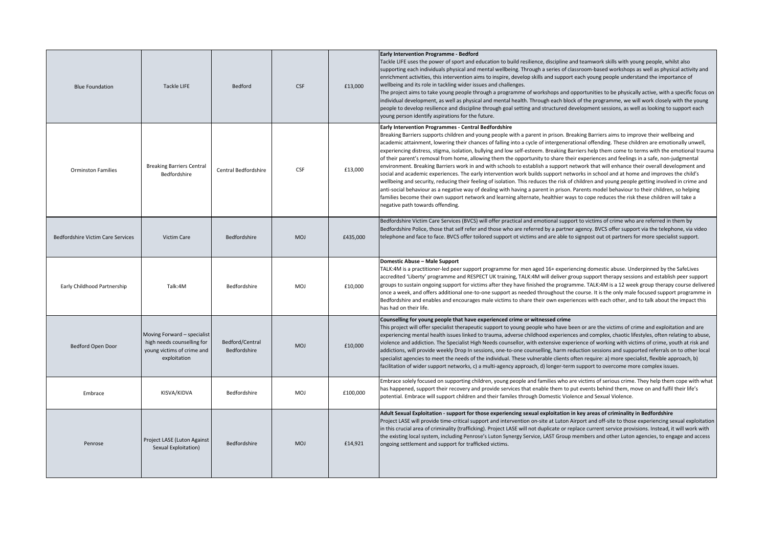| <b>Blue Foundation</b>            | Tackle LIFE                                                                                             | Bedford                         | <b>CSF</b> | £13,000  | Early Intervention Programme - Bedford<br>Tackle LIFE uses the power of sport and education to build resilience, discipline and teamwork skills with young people, whilst also<br>supporting each individuals physical and mental wellbeing. Through a series of classroom-based workshops as well as physical activity and<br>enrichment activities, this intervention aims to inspire, develop skills and support each young people understand the importance of<br>wellbeing and its role in tackling wider issues and challenges.<br>The project aims to take young people through a programme of workshops and opportunities to be physically active, with a specific focus on<br>individual development, as well as physical and mental health. Through each block of the programme, we will work closely with the young<br>people to develop resilience and discipline through goal setting and structured development sessions, as well as looking to support each<br>young person identify aspirations for the future.                                                                                                                                                                                                                                                                                                                                                            |
|-----------------------------------|---------------------------------------------------------------------------------------------------------|---------------------------------|------------|----------|--------------------------------------------------------------------------------------------------------------------------------------------------------------------------------------------------------------------------------------------------------------------------------------------------------------------------------------------------------------------------------------------------------------------------------------------------------------------------------------------------------------------------------------------------------------------------------------------------------------------------------------------------------------------------------------------------------------------------------------------------------------------------------------------------------------------------------------------------------------------------------------------------------------------------------------------------------------------------------------------------------------------------------------------------------------------------------------------------------------------------------------------------------------------------------------------------------------------------------------------------------------------------------------------------------------------------------------------------------------------------------------------|
| <b>Orminston Families</b>         | <b>Breaking Barriers Central</b><br>Bedfordshire                                                        | Central Bedfordshire            | CSF        | £13.000  | Early Intervention Programmes - Central Bedfordshire<br>Breaking Barriers supports children and young people with a parent in prison. Breaking Barriers aims to improve their wellbeing and<br>academic attainment, lowering their chances of falling into a cycle of intergenerational offending. These children are emotionally unwell,<br>experiencing distress, stigma, isolation, bullying and low self-esteem. Breaking Barriers help them come to terms with the emotional trauma<br>of their parent's removal from home, allowing them the opportunity to share their experiences and feelings in a safe, non-judgmental<br>environment. Breaking Barriers work in and with schools to establish a support network that will enhance their overall development and<br>social and academic experiences. The early intervention work builds support networks in school and at home and improves the child's<br>wellbeing and security, reducing their feeling of isolation. This reduces the risk of children and young people getting involved in crime and<br>anti-social behaviour as a negative way of dealing with having a parent in prison. Parents model behaviour to their children, so helping<br>families become their own support network and learning alternate, healthier ways to cope reduces the risk these children will take a<br>negative path towards offending. |
| Bedfordshire Victim Care Services | Victim Care                                                                                             | Bedfordshire                    | MOJ        | £435,000 | Bedfordshire Victim Care Services (BVCS) will offer practical and emotional support to victims of crime who are referred in them by<br>Bedfordshire Police, those that self refer and those who are referred by a partner agency. BVCS offer support via the telephone, via video<br>telephone and face to face. BVCS offer toilored support ot victims and are able to signpost out ot partners for more specialist support.                                                                                                                                                                                                                                                                                                                                                                                                                                                                                                                                                                                                                                                                                                                                                                                                                                                                                                                                                              |
| Early Childhood Partnership       | Talk:4M                                                                                                 | Bedfordshire                    | MOJ        | £10,000  | Domestic Abuse - Male Support<br>TALK:4M is a practitioner-led peer support programme for men aged 16+ experiencing domestic abuse. Underpinned by the SafeLives<br>accredited 'Liberty' programme and RESPECT UK training, TALK:4M will deliver group support therapy sessions and establish peer support<br>groups to sustain ongoing support for victims after they have finished the programme. TALK:4M is a 12 week group therapy course delivered<br>once a week, and offers additional one-to-one support as needed throughout the course. It is the only male focused support programme in<br>Bedfordshire and enables and encourages male victims to share their own experiences with each other, and to talk about the impact this<br>has had on their life.                                                                                                                                                                                                                                                                                                                                                                                                                                                                                                                                                                                                                     |
| <b>Bedford Open Door</b>          | Moving Forward - specialist<br>high needs counselling for<br>young victims of crime and<br>exploitation | Bedford/Central<br>Bedfordshire | <b>MOJ</b> | £10,000  | Counselling for young people that have experienced crime or witnessed crime<br>This project will offer specialist therapeutic support to young people who have been or are the victims of crime and exploitation and are<br>experiencing mental health issues linked to trauma, adverse childhood experiences and complex, chaotic lifestyles, often relating to abuse,<br>violence and addiction. The Specialist High Needs counsellor, with extensive experience of working with victims of crime, youth at risk and<br>addictions, will provide weekly Drop In sessions, one-to-one counselling, harm reduction sessions and supported referrals on to other local<br>specialist agencies to meet the needs of the individual. These vulnerable clients often require: a) more specialist, flexible approach, b)<br>facilitation of wider support networks, c) a multi-agency approach, d) longer-term support to overcome more complex issues.                                                                                                                                                                                                                                                                                                                                                                                                                                         |
| Embrace                           | KISVA/KIDVA                                                                                             | Bedfordshire                    | MOJ        | £100,000 | Embrace solely focused on supporting children, young people and families who are victims of serious crime. They help them cope with what<br>has happened, support their recovery and provide services that enable them to put events behind them, move on and fulfil their life's<br>potential. Embrace will support children and their familes through Domestic Violence and Sexual Violence.                                                                                                                                                                                                                                                                                                                                                                                                                                                                                                                                                                                                                                                                                                                                                                                                                                                                                                                                                                                             |
| Penrose                           | Project LASE (Luton Against<br>Sexual Exploitation)                                                     | Bedfordshire                    | <b>MOJ</b> | £14,921  | Adult Sexual Exploitation - support for those experiencing sexual exploitation in key areas of criminality in Bedfordshire<br>Project LASE will provide time-critical support and intervention on-site at Luton Airport and off-site to those experiencing sexual exploitation<br>in this crucial area of criminality (trafficking). Project LASE will not duplicate or replace current service provisions. Instead, it will work with<br>the existing local system, including Penrose's Luton Synergy Service, LAST Group members and other Luton agencies, to engage and access<br>ongoing settlement and support for trafficked victims.                                                                                                                                                                                                                                                                                                                                                                                                                                                                                                                                                                                                                                                                                                                                                |